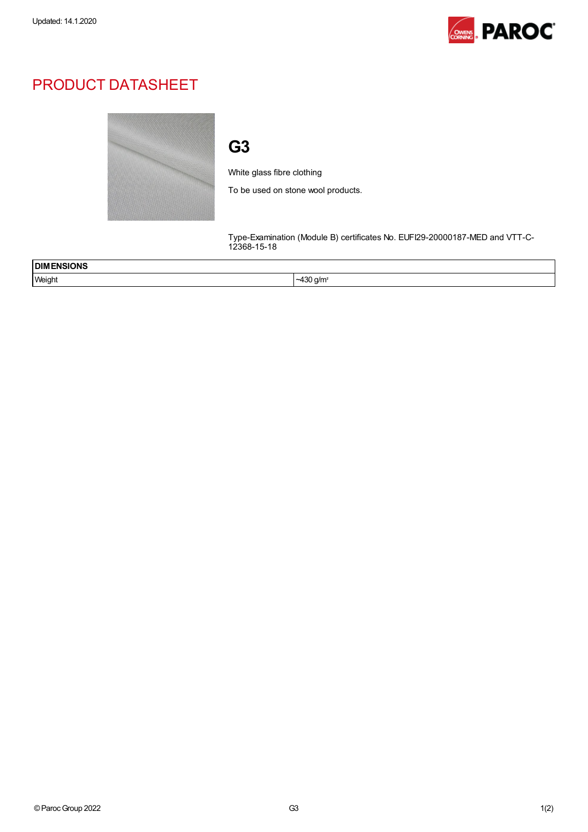

## PRODUCT DATASHEET



## G3

White glass fibre clothing

To be used on stone wool products.

Type-Examination (Module B) certificates No. EUFI29-20000187-MED and VTT-C-12368-15-18

| ENSIONS<br><b>DIMI</b><br>$\sim$ $\sim$ $\sim$ $\sim$ |                                         |
|-------------------------------------------------------|-----------------------------------------|
| Weight                                                | nc N.<br>) a/m<br>~<br>1 U J<br>$\cdot$ |